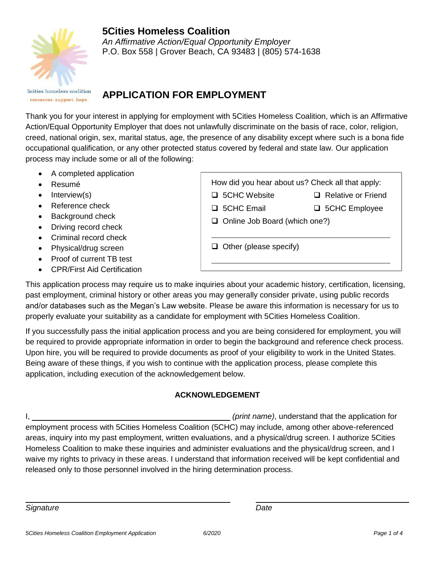

## **5Cities Homeless Coalition** *An Affirmative Action/Equal Opportunity Employer*

P.O. Box 558 | Grover Beach, CA 93483 | (805) 574-1638

**Scities** homeless coalition resources. support. hope.

# **APPLICATION FOR EMPLOYMENT**

Thank you for your interest in applying for employment with 5Cities Homeless Coalition, which is an Affirmative Action/Equal Opportunity Employer that does not unlawfully discriminate on the basis of race, color, religion, creed, national origin, sex, marital status, age, the presence of any disability except where such is a bona fide occupational qualification, or any other protected status covered by federal and state law. Our application process may include some or all of the following:

- A completed application
- Resumé
- Interview(s)
- Reference check
- Background check
- Driving record check
- Criminal record check
- Physical/drug screen
- Proof of current TB test
- CPR/First Aid Certification

□ 5CHC Website □ Relative or Friend

□ 5CHC Email □ 5CHC Employee

 $\Box$  Online Job Board (which one?)

 $\Box$  Other (please specify)

This application process may require us to make inquiries about your academic history, certification, licensing, past employment, criminal history or other areas you may generally consider private, using public records and/or databases such as the Megan's Law website. Please be aware this information is necessary for us to properly evaluate your suitability as a candidate for employment with 5Cities Homeless Coalition.

If you successfully pass the initial application process and you are being considered for employment, you will be required to provide appropriate information in order to begin the background and reference check process. Upon hire, you will be required to provide documents as proof of your eligibility to work in the United States. Being aware of these things, if you wish to continue with the application process, please complete this application, including execution of the acknowledgement below.

## **ACKNOWLEDGEMENT**

I, *(print name)*, understand that the application for employment process with 5Cities Homeless Coalition (5CHC) may include, among other above-referenced areas, inquiry into my past employment, written evaluations, and a physical/drug screen. I authorize 5Cities Homeless Coalition to make these inquiries and administer evaluations and the physical/drug screen, and I waive my rights to privacy in these areas. I understand that information received will be kept confidential and released only to those personnel involved in the hiring determination process.

**Signature** Date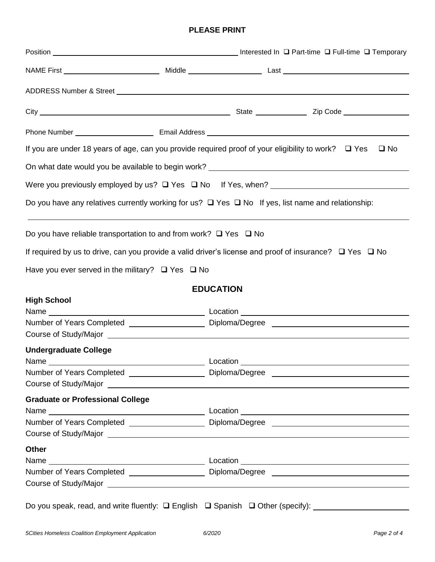#### **PLEASE PRINT**

|                                                                                                                |                  | If you are under 18 years of age, can you provide required proof of your eligibility to work? $\Box$ Yes<br>$\square$ No |
|----------------------------------------------------------------------------------------------------------------|------------------|--------------------------------------------------------------------------------------------------------------------------|
|                                                                                                                |                  | On what date would you be available to begin work? _____________________________                                         |
|                                                                                                                |                  |                                                                                                                          |
|                                                                                                                |                  | Do you have any relatives currently working for us? $\Box$ Yes $\Box$ No If yes, list name and relationship:             |
| Do you have reliable transportation to and from work? $\Box$ Yes $\Box$ No                                     |                  |                                                                                                                          |
|                                                                                                                |                  | If required by us to drive, can you provide a valid driver's license and proof of insurance? $\Box$ Yes $\Box$ No        |
| Have you ever served in the military? $\Box$ Yes $\Box$ No                                                     |                  |                                                                                                                          |
|                                                                                                                | <b>EDUCATION</b> |                                                                                                                          |
| <b>High School</b>                                                                                             |                  |                                                                                                                          |
|                                                                                                                |                  |                                                                                                                          |
|                                                                                                                |                  | Number of Years Completed ______________________Diploma/Degree __________________                                        |
| <b>Undergraduate College</b>                                                                                   |                  |                                                                                                                          |
| Name that the state of the state of the state of the state of the state of the state of the state of the state |                  | Location                                                                                                                 |
|                                                                                                                |                  | Number of Years Completed ______________________Diploma/Degree __________________                                        |
| Course of Study/Major Law and Course of Study/Major Law                                                        |                  |                                                                                                                          |
| <b>Graduate or Professional College</b>                                                                        |                  |                                                                                                                          |
|                                                                                                                |                  |                                                                                                                          |
|                                                                                                                |                  | Number of Years Completed ______________________Diploma/Degree _________________                                         |
|                                                                                                                |                  |                                                                                                                          |
| <b>Other</b>                                                                                                   |                  |                                                                                                                          |
|                                                                                                                |                  | Number of Years Completed ______________________Diploma/Degree __________________                                        |
|                                                                                                                |                  |                                                                                                                          |
|                                                                                                                |                  |                                                                                                                          |

Do you speak, read, and write fluently: English Spanish Other (specify):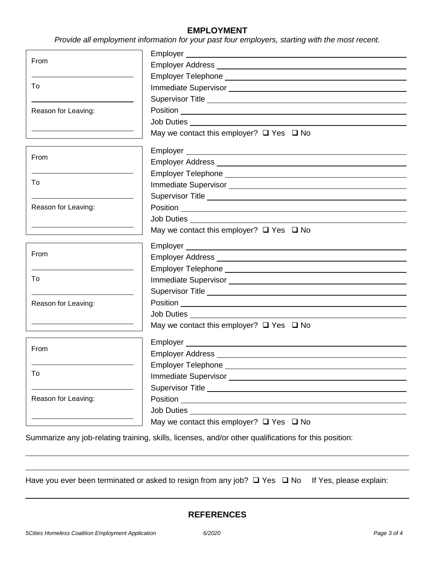#### **EMPLOYMENT**

*Provide all employment information for your past four employers, starting with the most recent.*

| From                |                                                                                                                                                                                                                                      |  |
|---------------------|--------------------------------------------------------------------------------------------------------------------------------------------------------------------------------------------------------------------------------------|--|
|                     |                                                                                                                                                                                                                                      |  |
|                     |                                                                                                                                                                                                                                      |  |
| To                  |                                                                                                                                                                                                                                      |  |
|                     |                                                                                                                                                                                                                                      |  |
| Reason for Leaving: |                                                                                                                                                                                                                                      |  |
|                     |                                                                                                                                                                                                                                      |  |
|                     | May we contact this employer? $\Box$ Yes $\Box$ No                                                                                                                                                                                   |  |
| From                |                                                                                                                                                                                                                                      |  |
|                     |                                                                                                                                                                                                                                      |  |
| To                  |                                                                                                                                                                                                                                      |  |
|                     |                                                                                                                                                                                                                                      |  |
|                     | Supervisor Title <b>Constantine Constantine Constantine Constantine Constantine Constantine Constantine Constantine Constantine Constantine Constantine Constantine Constantine Constantine Constantine Constantine Constantine </b> |  |
| Reason for Leaving: |                                                                                                                                                                                                                                      |  |
|                     |                                                                                                                                                                                                                                      |  |
|                     | May we contact this employer? $\Box$ Yes $\Box$ No                                                                                                                                                                                   |  |
| From                | Employer <u>example and the set of the set of the set of the set of the set of the set of the set of the set of the set of the set of the set of the set of the set of the set of the set of the set of the set of the set of th</u> |  |
|                     |                                                                                                                                                                                                                                      |  |
|                     |                                                                                                                                                                                                                                      |  |
| To                  |                                                                                                                                                                                                                                      |  |
|                     |                                                                                                                                                                                                                                      |  |
| Reason for Leaving: |                                                                                                                                                                                                                                      |  |
|                     | Job Duties __________________________________                                                                                                                                                                                        |  |
|                     | May we contact this employer? $\Box$ Yes $\Box$ No                                                                                                                                                                                   |  |
| From                |                                                                                                                                                                                                                                      |  |
|                     |                                                                                                                                                                                                                                      |  |
| To                  |                                                                                                                                                                                                                                      |  |
|                     |                                                                                                                                                                                                                                      |  |
|                     |                                                                                                                                                                                                                                      |  |
| Reason for Leaving: |                                                                                                                                                                                                                                      |  |
|                     | Job Duties and the United States                                                                                                                                                                                                     |  |
|                     | May we contact this employer? $\Box$ Yes $\Box$ No                                                                                                                                                                                   |  |

Summarize any job-relating training, skills, licenses, and/or other qualifications for this position:

Have you ever been terminated or asked to resign from any job?  $\Box$  Yes  $\Box$  No If Yes, please explain: